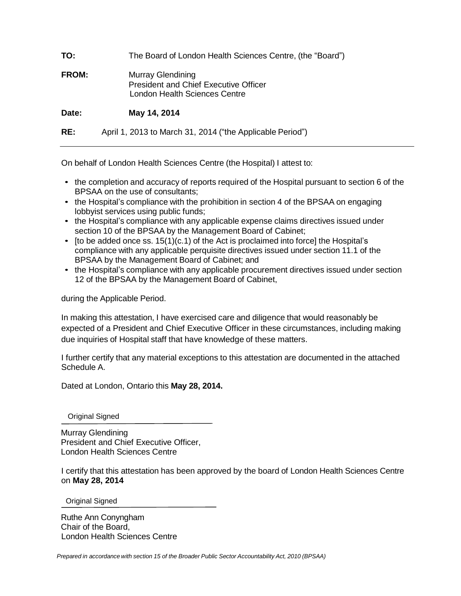| TO:          | The Board of London Health Sciences Centre, (the "Board")                                          |
|--------------|----------------------------------------------------------------------------------------------------|
| <b>FROM:</b> | Murray Glendining<br><b>President and Chief Executive Officer</b><br>London Health Sciences Centre |
| Date:        | May 14, 2014                                                                                       |
| RE:          | April 1, 2013 to March 31, 2014 ("the Applicable Period")                                          |

On behalf of London Health Sciences Centre (the Hospital) I attest to:

- the completion and accuracy of reports required of the Hospital pursuant to section 6 of the BPSAA on the use of consultants;
- the Hospital's compliance with the prohibition in section 4 of the BPSAA on engaging lobbyist services using public funds;
- the Hospital's compliance with any applicable expense claims directives issued under section 10 of the BPSAA by the Management Board of Cabinet;
- [to be added once ss.  $15(1)(c.1)$  of the Act is proclaimed into force] the Hospital's compliance with any applicable perquisite directives issued under section 11.1 of the BPSAA by the Management Board of Cabinet; and
- the Hospital's compliance with any applicable procurement directives issued under section 12 of the BPSAA by the Management Board of Cabinet,

during the Applicable Period.

In making this attestation, I have exercised care and diligence that would reasonably be expected of a President and Chief Executive Officer in these circumstances, including making due inquiries of Hospital staff that have knowledge of these matters.

I further certify that any material exceptions to this attestation are documented in the attached Schedule A.

Dated at London, Ontario this **May 28, 2014.**

Original Signed

Murray Glendining President and Chief Executive Officer, London Health Sciences Centre

I certify that this attestation has been approved by the board of London Health Sciences Centre on **May 28, 2014**

Original Signed

Ruthe Ann Conyngham Chair of the Board, London Health Sciences Centre